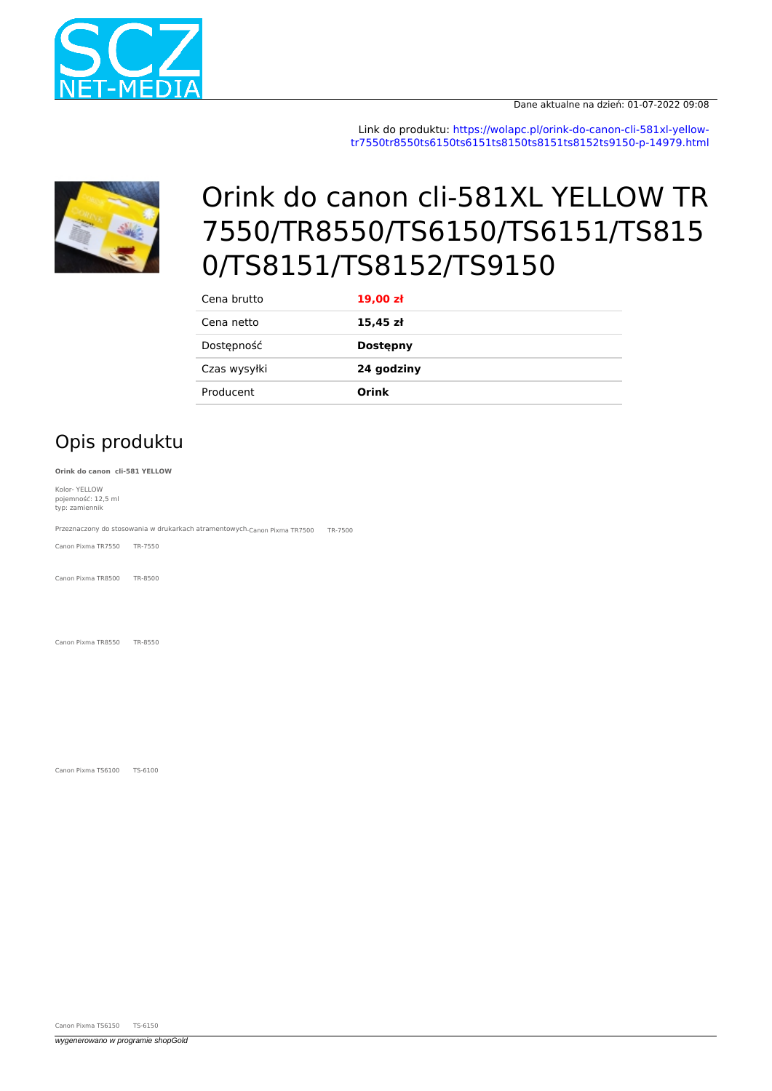

Link do produktu: [https://wolapc.pl/orink-do-canon-cli-581xl-yellow](https://wolapc.pl/orink-do-canon-cli-581xl-yellow-tr7550tr8550ts6150ts6151ts8150ts8151ts8152ts9150-p-14979.html)[tr7550tr8550ts6150ts6151ts8150ts8151ts8152ts9150-p-14979.html](https://wolapc.pl/orink-do-canon-cli-581xl-yellow-tr7550tr8550ts6150ts6151ts8150ts8151ts8152ts9150-p-14979.html)



## Orink do canon cli-581XL YELLOW TR 7550/TR8550/TS6150/TS6151/TS815 0/TS8151/TS8152/TS9150

| Cena brutto  | $19,00$ zł      |
|--------------|-----------------|
| Cena netto   | $15,45$ zł      |
| Dostępność   | <b>Dostepny</b> |
| Czas wysyłki | 24 godziny      |
| Producent    | Orink           |

## Opis produktu

**Orink do canon cli-581 YELLOW**

Kolor- YELLOW pojemność: 12,5 ml typ: zamiennik

Przeznaczony do stosowania w drukarkach atramentowych. Canon Pixma TR7500 TR-7500

Canon Pixma TR7550 TR-7550

Canon Pixma TR8500 TR-8500

Canon Pixma TR8550 TR-8550

Canon Pixma TS6100 TS-6100

Canon Pixma TS6150 TS-6150